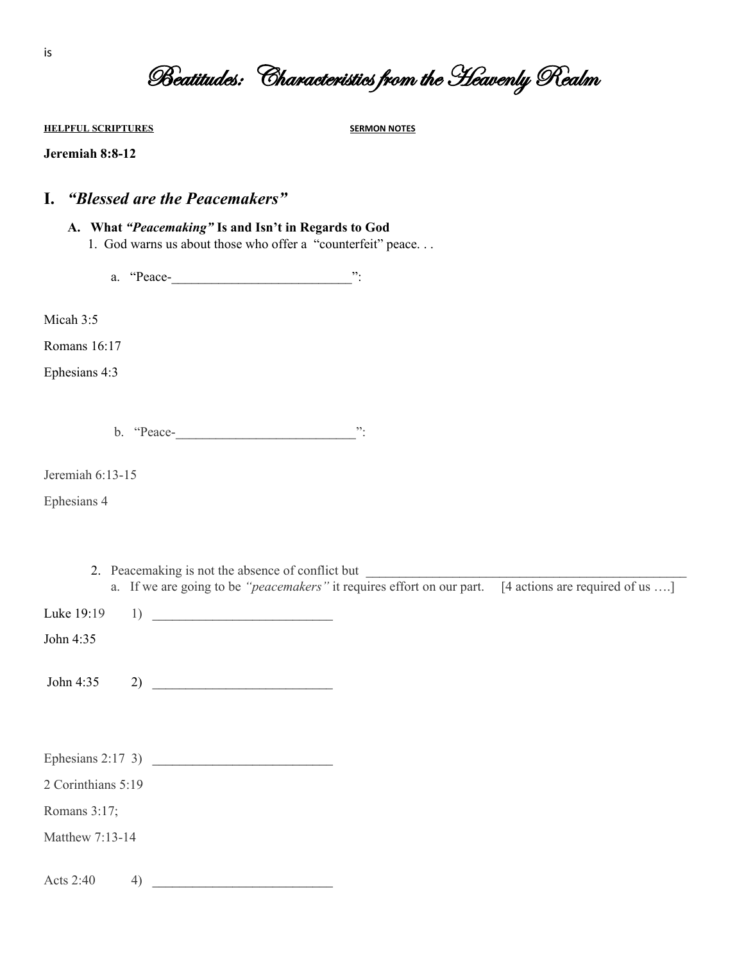|  | Beatitudes: Characteristics from the Heavenly Realm |  |
|--|-----------------------------------------------------|--|
|  |                                                     |  |

**HELPFUL SCRIPTURES SERMON NOTES**

#### **Jeremiah 8:8-12**

### **I.** *"Blessed are the Peacemakers"*

#### **A. What** *"Peacemaking"* **Is and Isn't in Regards to God**

1. God warns us about those who offer a "counterfeit" peace. . .

a. "Peace-\_\_\_\_\_\_\_\_\_\_\_\_\_\_\_\_\_\_\_\_\_\_\_\_\_\_\_":

Micah 3:5

Romans 16:17

Ephesians 4:3

b. "Peace-\_\_\_\_\_\_\_\_\_\_\_\_\_\_\_\_\_\_\_\_\_\_\_\_\_\_\_":

Jeremiah 6:13-15

Ephesians 4

- 2. Peacemaking is not the absence of conflict but \_\_\_\_\_\_\_\_\_\_\_\_\_\_\_\_\_\_\_\_\_\_\_\_\_\_\_\_\_\_\_
- a. If we are going to be *"peacemakers*" it requires effort on our part. [4 actions are required of us ....]

Luke 19:19 1) \_\_\_\_\_\_\_\_\_\_\_\_\_\_\_\_\_\_\_\_\_\_\_\_\_\_\_

John 4:35

John 4:35 2)  $\qquad \qquad$ 

| Ephesians $2:17$ 3) |  |
|---------------------|--|
|                     |  |

2 Corinthians 5:19

Romans 3:17;

Matthew 7:13-14

Acts 2:40  $4)$